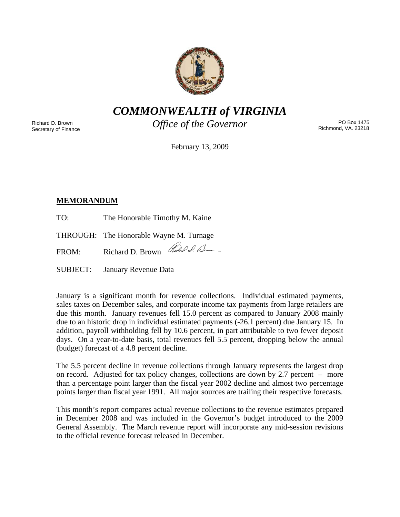

*COMMONWEALTH of VIRGINIA* 

Richard D. Brown Secretary of Finance *Office of the Governor* 

PO Box 1475 Richmond, VA. 23218

February 13, 2009

# **MEMORANDUM**

TO: The Honorable Timothy M. Kaine

THROUGH: The Honorable Wayne M. Turnage

FROM: Richard D. Brown Red P. Dom

SUBJECT: January Revenue Data

January is a significant month for revenue collections. Individual estimated payments, sales taxes on December sales, and corporate income tax payments from large retailers are due this month. January revenues fell 15.0 percent as compared to January 2008 mainly due to an historic drop in individual estimated payments (-26.1 percent) due January 15. In addition, payroll withholding fell by 10.6 percent, in part attributable to two fewer deposit days. On a year-to-date basis, total revenues fell 5.5 percent, dropping below the annual (budget) forecast of a 4.8 percent decline.

The 5.5 percent decline in revenue collections through January represents the largest drop on record. Adjusted for tax policy changes, collections are down by 2.7 percent – more than a percentage point larger than the fiscal year 2002 decline and almost two percentage points larger than fiscal year 1991. All major sources are trailing their respective forecasts.

This month's report compares actual revenue collections to the revenue estimates prepared in December 2008 and was included in the Governor's budget introduced to the 2009 General Assembly. The March revenue report will incorporate any mid-session revisions to the official revenue forecast released in December.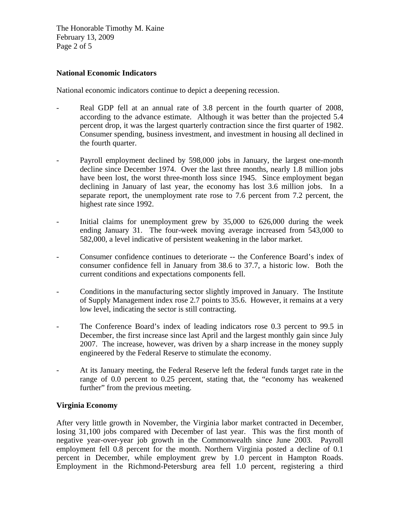The Honorable Timothy M. Kaine February 13, 2009 Page 2 of 5

### **National Economic Indicators**

National economic indicators continue to depict a deepening recession.

- Real GDP fell at an annual rate of 3.8 percent in the fourth quarter of 2008, according to the advance estimate. Although it was better than the projected 5.4 percent drop, it was the largest quarterly contraction since the first quarter of 1982. Consumer spending, business investment, and investment in housing all declined in the fourth quarter.
- Payroll employment declined by 598,000 jobs in January, the largest one-month decline since December 1974. Over the last three months, nearly 1.8 million jobs have been lost, the worst three-month loss since 1945. Since employment began declining in January of last year, the economy has lost 3.6 million jobs. In a separate report, the unemployment rate rose to 7.6 percent from 7.2 percent, the highest rate since 1992.
- Initial claims for unemployment grew by 35,000 to 626,000 during the week ending January 31. The four-week moving average increased from 543,000 to 582,000, a level indicative of persistent weakening in the labor market.
- Consumer confidence continues to deteriorate -- the Conference Board's index of consumer confidence fell in January from 38.6 to 37.7, a historic low. Both the current conditions and expectations components fell.
- Conditions in the manufacturing sector slightly improved in January. The Institute of Supply Management index rose 2.7 points to 35.6. However, it remains at a very low level, indicating the sector is still contracting.
- The Conference Board's index of leading indicators rose 0.3 percent to 99.5 in December, the first increase since last April and the largest monthly gain since July 2007. The increase, however, was driven by a sharp increase in the money supply engineered by the Federal Reserve to stimulate the economy.
- At its January meeting, the Federal Reserve left the federal funds target rate in the range of 0.0 percent to 0.25 percent, stating that, the "economy has weakened further" from the previous meeting.

# **Virginia Economy**

After very little growth in November, the Virginia labor market contracted in December, losing 31,100 jobs compared with December of last year. This was the first month of negative year-over-year job growth in the Commonwealth since June 2003. Payroll employment fell 0.8 percent for the month. Northern Virginia posted a decline of 0.1 percent in December, while employment grew by 1.0 percent in Hampton Roads. Employment in the Richmond-Petersburg area fell 1.0 percent, registering a third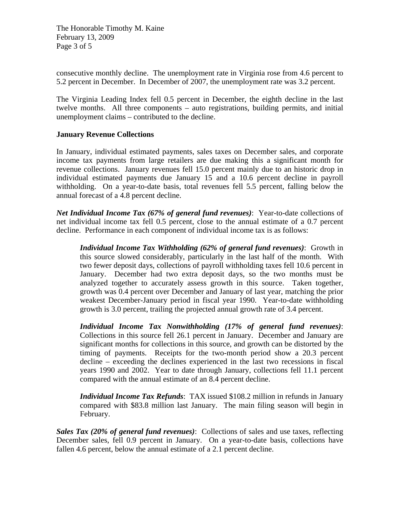The Honorable Timothy M. Kaine February 13, 2009 Page 3 of 5

consecutive monthly decline. The unemployment rate in Virginia rose from 4.6 percent to 5.2 percent in December. In December of 2007, the unemployment rate was 3.2 percent.

The Virginia Leading Index fell 0.5 percent in December, the eighth decline in the last twelve months. All three components – auto registrations, building permits, and initial unemployment claims – contributed to the decline.

# **January Revenue Collections**

In January, individual estimated payments, sales taxes on December sales, and corporate income tax payments from large retailers are due making this a significant month for revenue collections. January revenues fell 15.0 percent mainly due to an historic drop in individual estimated payments due January 15 and a 10.6 percent decline in payroll withholding. On a year-to-date basis, total revenues fell 5.5 percent, falling below the annual forecast of a 4.8 percent decline.

*Net Individual Income Tax (67% of general fund revenues)*: Year-to-date collections of net individual income tax fell 0.5 percent, close to the annual estimate of a 0.7 percent decline. Performance in each component of individual income tax is as follows:

*Individual Income Tax Withholding (62% of general fund revenues)*: Growth in this source slowed considerably, particularly in the last half of the month. With two fewer deposit days, collections of payroll withholding taxes fell 10.6 percent in January. December had two extra deposit days, so the two months must be analyzed together to accurately assess growth in this source. Taken together, growth was 0.4 percent over December and January of last year, matching the prior weakest December-January period in fiscal year 1990. Year-to-date withholding growth is 3.0 percent, trailing the projected annual growth rate of 3.4 percent.

*Individual Income Tax Nonwithholding (17% of general fund revenues)*: Collections in this source fell 26.1 percent in January. December and January are significant months for collections in this source, and growth can be distorted by the timing of payments. Receipts for the two-month period show a 20.3 percent decline – exceeding the declines experienced in the last two recessions in fiscal years 1990 and 2002. Year to date through January, collections fell 11.1 percent compared with the annual estimate of an 8.4 percent decline.

*Individual Income Tax Refunds*: TAX issued \$108.2 million in refunds in January compared with \$83.8 million last January. The main filing season will begin in February.

*Sales Tax (20% of general fund revenues)*: Collections of sales and use taxes, reflecting December sales, fell 0.9 percent in January. On a year-to-date basis, collections have fallen 4.6 percent, below the annual estimate of a 2.1 percent decline.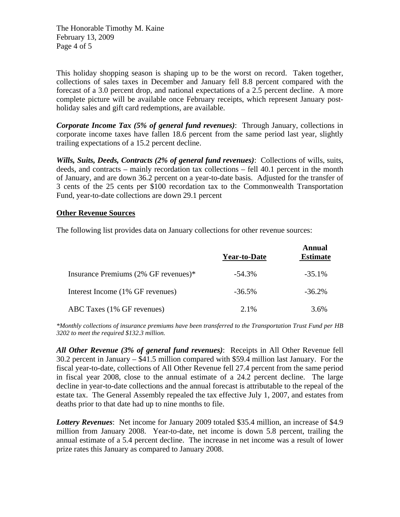The Honorable Timothy M. Kaine February 13, 2009 Page 4 of 5

This holiday shopping season is shaping up to be the worst on record. Taken together, collections of sales taxes in December and January fell 8.8 percent compared with the forecast of a 3.0 percent drop, and national expectations of a 2.5 percent decline. A more complete picture will be available once February receipts, which represent January postholiday sales and gift card redemptions, are available.

*Corporate Income Tax (5% of general fund revenues)*: Through January, collections in corporate income taxes have fallen 18.6 percent from the same period last year, slightly trailing expectations of a 15.2 percent decline.

*Wills, Suits, Deeds, Contracts (2% of general fund revenues)*: Collections of wills, suits, deeds, and contracts – mainly recordation tax collections – fell 40.1 percent in the month of January, and are down 36.2 percent on a year-to-date basis. Adjusted for the transfer of 3 cents of the 25 cents per \$100 recordation tax to the Commonwealth Transportation Fund, year-to-date collections are down 29.1 percent

# **Other Revenue Sources**

The following list provides data on January collections for other revenue sources:

|                                      | Year-to-Date | Annual<br><b>Estimate</b> |
|--------------------------------------|--------------|---------------------------|
| Insurance Premiums (2% GF revenues)* | $-54.3\%$    | $-35.1\%$                 |
| Interest Income (1% GF revenues)     | $-36.5\%$    | $-36.2\%$                 |
| ABC Taxes (1% GF revenues)           | $2.1\%$      | 3.6%                      |

*\*Monthly collections of insurance premiums have been transferred to the Transportation Trust Fund per HB 3202 to meet the required \$132.3 million.* 

*All Other Revenue (3% of general fund revenues)*: Receipts in All Other Revenue fell 30.2 percent in January – \$41.5 million compared with \$59.4 million last January. For the fiscal year-to-date, collections of All Other Revenue fell 27.4 percent from the same period in fiscal year 2008, close to the annual estimate of a 24.2 percent decline. The large decline in year-to-date collections and the annual forecast is attributable to the repeal of the estate tax. The General Assembly repealed the tax effective July 1, 2007, and estates from deaths prior to that date had up to nine months to file.

*Lottery Revenues*: Net income for January 2009 totaled \$35.4 million, an increase of \$4.9 million from January 2008. Year-to-date, net income is down 5.8 percent, trailing the annual estimate of a 5.4 percent decline. The increase in net income was a result of lower prize rates this January as compared to January 2008.